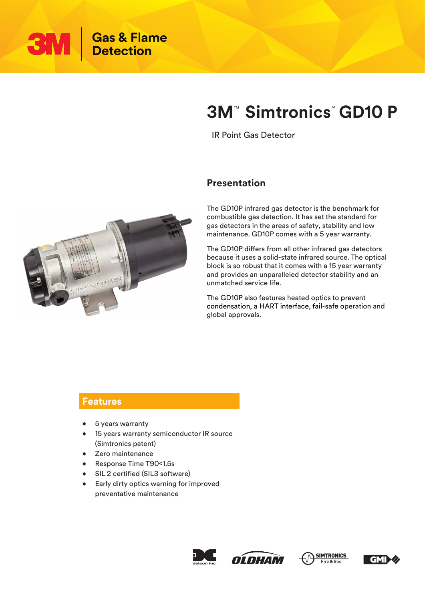

# **3M<sup>™</sup> Simtronics<sup>™</sup> GD10 P**

IR Point Gas Detector

### **Presentation**

The GD10P infrared gas detector is the benchmark for combustible gas detection. It has set the standard for gas detectors in the areas of safety, stability and low maintenance. GD10P comes with a 5 year warranty.

The GD10P differs from all other infrared gas detectors because it uses a solid-state infrared source. The optical block is so robust that it comes with a 15 year warranty and provides an unparalleled detector stability and an unmatched service life.

The GD10P also features heated optics to prevent condensation, a HART interface, fail-safe operation and global approvals.

#### **Features**

- 5 years warranty
- 15 years warranty semiconductor IR source (Simtronics patent)
- Zero maintenance
- Response Time T90<1.5s
- SIL 2 certified (SIL3 software)
- Early dirty optics warning for improved preventative maintenance